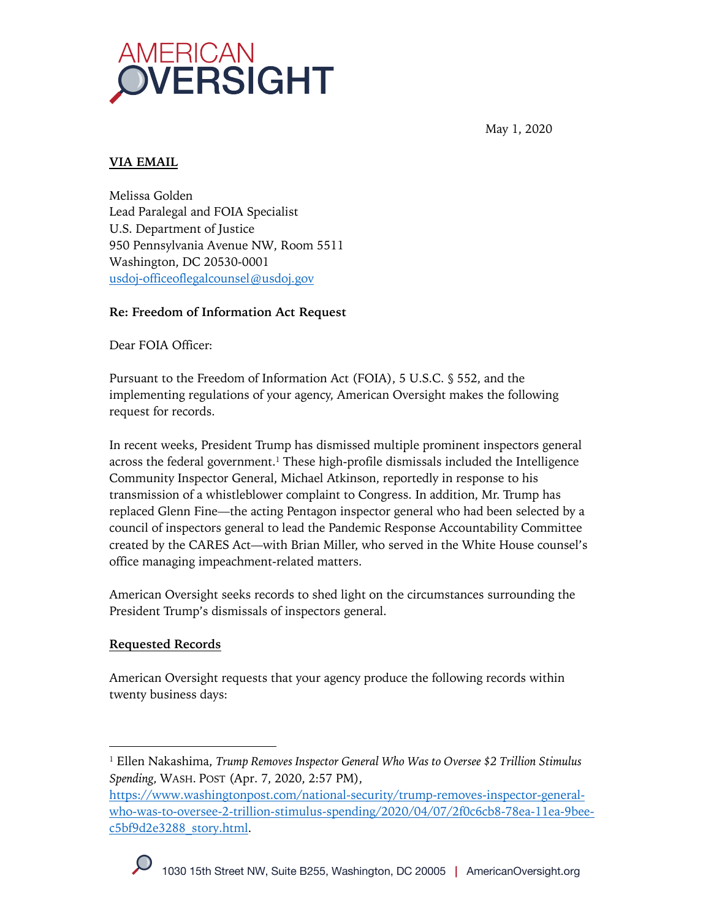

May 1, 2020

# **VIA EMAIL**

Melissa Golden Lead Paralegal and FOIA Specialist U.S. Department of Justice 950 Pennsylvania Avenue NW, Room 5511 Washington, DC 20530-0001 usdoj-officeoflegalcounsel@usdoj.gov

## **Re: Freedom of Information Act Request**

Dear FOIA Officer:

Pursuant to the Freedom of Information Act (FOIA), 5 U.S.C. § 552, and the implementing regulations of your agency, American Oversight makes the following request for records.

In recent weeks, President Trump has dismissed multiple prominent inspectors general across the federal government.1 These high-profile dismissals included the Intelligence Community Inspector General, Michael Atkinson, reportedly in response to his transmission of a whistleblower complaint to Congress. In addition, Mr. Trump has replaced Glenn Fine—the acting Pentagon inspector general who had been selected by a council of inspectors general to lead the Pandemic Response Accountability Committee created by the CARES Act—with Brian Miller, who served in the White House counsel's office managing impeachment-related matters.

American Oversight seeks records to shed light on the circumstances surrounding the President Trump's dismissals of inspectors general.

## **Requested Records**

American Oversight requests that your agency produce the following records within twenty business days:

https://www.washingtonpost.com/national-security/trump-removes-inspector-generalwho-was-to-oversee-2-trillion-stimulus-spending/2020/04/07/2f0c6cb8-78ea-11ea-9beec5bf9d2e3288\_story.html.



<sup>1</sup> Ellen Nakashima, *Trump Removes Inspector General Who Was to Oversee \$2 Trillion Stimulus Spending,* WASH. POST (Apr. 7, 2020, 2:57 PM),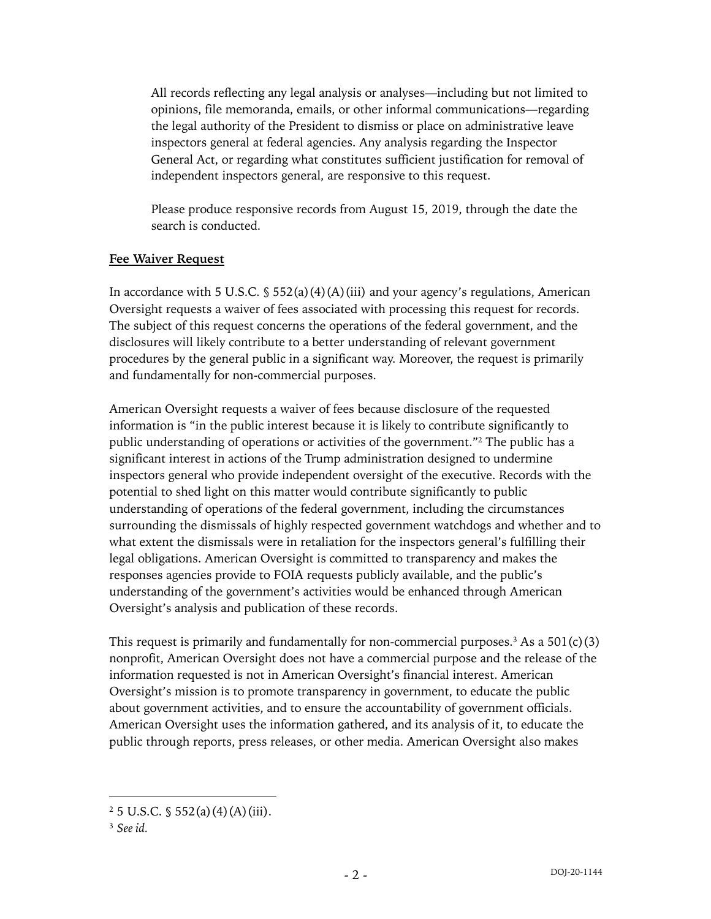All records reflecting any legal analysis or analyses—including but not limited to opinions, file memoranda, emails, or other informal communications—regarding the legal authority of the President to dismiss or place on administrative leave inspectors general at federal agencies. Any analysis regarding the Inspector General Act, or regarding what constitutes sufficient justification for removal of independent inspectors general, are responsive to this request.

Please produce responsive records from August 15, 2019, through the date the search is conducted.

#### **Fee Waiver Request**

In accordance with 5 U.S.C.  $\frac{1}{5}$  552(a)(4)(A)(iii) and your agency's regulations, American Oversight requests a waiver of fees associated with processing this request for records. The subject of this request concerns the operations of the federal government, and the disclosures will likely contribute to a better understanding of relevant government procedures by the general public in a significant way. Moreover, the request is primarily and fundamentally for non-commercial purposes.

American Oversight requests a waiver of fees because disclosure of the requested information is "in the public interest because it is likely to contribute significantly to public understanding of operations or activities of the government."2 The public has a significant interest in actions of the Trump administration designed to undermine inspectors general who provide independent oversight of the executive. Records with the potential to shed light on this matter would contribute significantly to public understanding of operations of the federal government, including the circumstances surrounding the dismissals of highly respected government watchdogs and whether and to what extent the dismissals were in retaliation for the inspectors general's fulfilling their legal obligations. American Oversight is committed to transparency and makes the responses agencies provide to FOIA requests publicly available, and the public's understanding of the government's activities would be enhanced through American Oversight's analysis and publication of these records.

This request is primarily and fundamentally for non-commercial purposes.<sup>3</sup> As a  $501(c)(3)$ nonprofit, American Oversight does not have a commercial purpose and the release of the information requested is not in American Oversight's financial interest. American Oversight's mission is to promote transparency in government, to educate the public about government activities, and to ensure the accountability of government officials. American Oversight uses the information gathered, and its analysis of it, to educate the public through reports, press releases, or other media. American Oversight also makes

 $2\,5$  U.S.C. § 552(a)(4)(A)(iii).

<sup>3</sup> *See id.*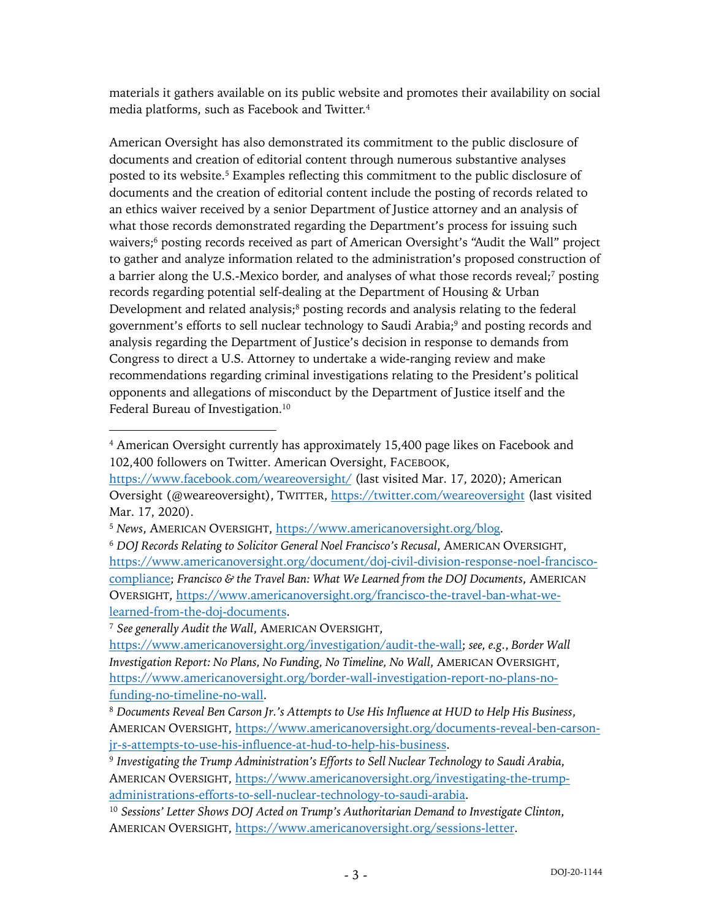materials it gathers available on its public website and promotes their availability on social media platforms, such as Facebook and Twitter.4

American Oversight has also demonstrated its commitment to the public disclosure of documents and creation of editorial content through numerous substantive analyses posted to its website. <sup>5</sup> Examples reflecting this commitment to the public disclosure of documents and the creation of editorial content include the posting of records related to an ethics waiver received by a senior Department of Justice attorney and an analysis of what those records demonstrated regarding the Department's process for issuing such waivers;<sup>6</sup> posting records received as part of American Oversight's "Audit the Wall" project to gather and analyze information related to the administration's proposed construction of a barrier along the U.S.-Mexico border, and analyses of what those records reveal;7 posting records regarding potential self-dealing at the Department of Housing & Urban Development and related analysis; $\frac{8}{3}$  posting records and analysis relating to the federal government's efforts to sell nuclear technology to Saudi Arabia;<sup>9</sup> and posting records and analysis regarding the Department of Justice's decision in response to demands from Congress to direct a U.S. Attorney to undertake a wide-ranging review and make recommendations regarding criminal investigations relating to the President's political opponents and allegations of misconduct by the Department of Justice itself and the Federal Bureau of Investigation.<sup>10</sup>

<sup>7</sup> *See generally Audit the Wall*, AMERICAN OVERSIGHT,

<sup>4</sup> American Oversight currently has approximately 15,400 page likes on Facebook and 102,400 followers on Twitter. American Oversight, FACEBOOK,

https://www.facebook.com/weareoversight/ (last visited Mar. 17, 2020); American Oversight (@weareoversight), TWITTER, https://twitter.com/weareoversight (last visited Mar. 17, 2020).

<sup>5</sup> *News*, AMERICAN OVERSIGHT, https://www.americanoversight.org/blog.

<sup>6</sup> *DOJ Records Relating to Solicitor General Noel Francisco's Recusal*, AMERICAN OVERSIGHT, https://www.americanoversight.org/document/doj-civil-division-response-noel-franciscocompliance; *Francisco & the Travel Ban: What We Learned from the DOJ Documents*, AMERICAN OVERSIGHT, https://www.americanoversight.org/francisco-the-travel-ban-what-welearned-from-the-doj-documents.

https://www.americanoversight.org/investigation/audit-the-wall; *see, e.g.*, *Border Wall Investigation Report: No Plans, No Funding, No Timeline, No Wall*, AMERICAN OVERSIGHT, https://www.americanoversight.org/border-wall-investigation-report-no-plans-nofunding-no-timeline-no-wall.

<sup>8</sup> *Documents Reveal Ben Carson Jr.'s Attempts to Use His Influence at HUD to Help His Business*, AMERICAN OVERSIGHT, https://www.americanoversight.org/documents-reveal-ben-carsonjr-s-attempts-to-use-his-influence-at-hud-to-help-his-business.

<sup>9</sup> *Investigating the Trump Administration's Efforts to Sell Nuclear Technology to Saudi Arabia*, AMERICAN OVERSIGHT, https://www.americanoversight.org/investigating-the-trumpadministrations-efforts-to-sell-nuclear-technology-to-saudi-arabia.

<sup>10</sup> *Sessions' Letter Shows DOJ Acted on Trump's Authoritarian Demand to Investigate Clinton*, AMERICAN OVERSIGHT, https://www.americanoversight.org/sessions-letter.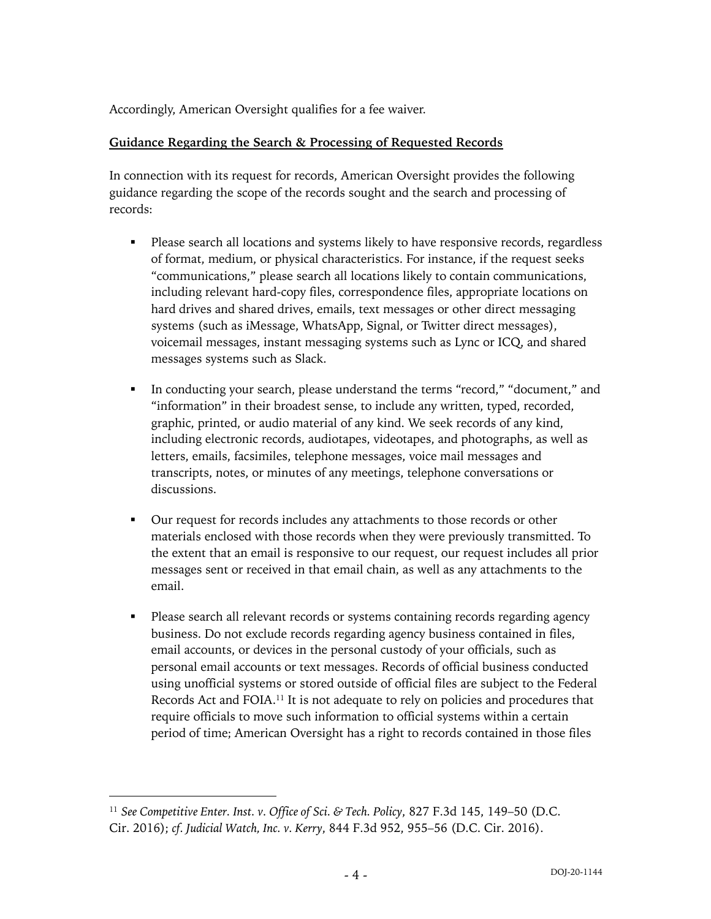Accordingly, American Oversight qualifies for a fee waiver.

### **Guidance Regarding the Search & Processing of Requested Records**

In connection with its request for records, American Oversight provides the following guidance regarding the scope of the records sought and the search and processing of records:

- Please search all locations and systems likely to have responsive records, regardless of format, medium, or physical characteristics. For instance, if the request seeks "communications," please search all locations likely to contain communications, including relevant hard-copy files, correspondence files, appropriate locations on hard drives and shared drives, emails, text messages or other direct messaging systems (such as iMessage, WhatsApp, Signal, or Twitter direct messages), voicemail messages, instant messaging systems such as Lync or ICQ, and shared messages systems such as Slack.
- In conducting your search, please understand the terms "record," "document," and "information" in their broadest sense, to include any written, typed, recorded, graphic, printed, or audio material of any kind. We seek records of any kind, including electronic records, audiotapes, videotapes, and photographs, as well as letters, emails, facsimiles, telephone messages, voice mail messages and transcripts, notes, or minutes of any meetings, telephone conversations or discussions.
- § Our request for records includes any attachments to those records or other materials enclosed with those records when they were previously transmitted. To the extent that an email is responsive to our request, our request includes all prior messages sent or received in that email chain, as well as any attachments to the email.
- Please search all relevant records or systems containing records regarding agency business. Do not exclude records regarding agency business contained in files, email accounts, or devices in the personal custody of your officials, such as personal email accounts or text messages. Records of official business conducted using unofficial systems or stored outside of official files are subject to the Federal Records Act and FOIA.11 It is not adequate to rely on policies and procedures that require officials to move such information to official systems within a certain period of time; American Oversight has a right to records contained in those files

<sup>11</sup> *See Competitive Enter. Inst. v. Office of Sci. & Tech. Policy*, 827 F.3d 145, 149–50 (D.C. Cir. 2016); *cf. Judicial Watch, Inc. v. Kerry*, 844 F.3d 952, 955–56 (D.C. Cir. 2016).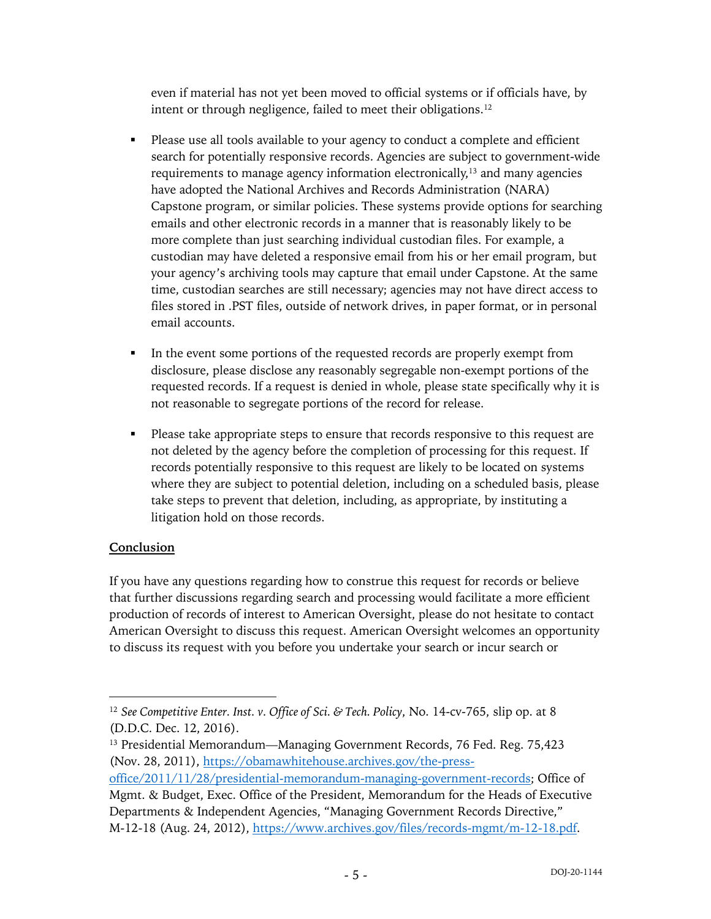even if material has not yet been moved to official systems or if officials have, by intent or through negligence, failed to meet their obligations.12

- Please use all tools available to your agency to conduct a complete and efficient search for potentially responsive records. Agencies are subject to government-wide requirements to manage agency information electronically,13 and many agencies have adopted the National Archives and Records Administration (NARA) Capstone program, or similar policies. These systems provide options for searching emails and other electronic records in a manner that is reasonably likely to be more complete than just searching individual custodian files. For example, a custodian may have deleted a responsive email from his or her email program, but your agency's archiving tools may capture that email under Capstone. At the same time, custodian searches are still necessary; agencies may not have direct access to files stored in .PST files, outside of network drives, in paper format, or in personal email accounts.
- In the event some portions of the requested records are properly exempt from disclosure, please disclose any reasonably segregable non-exempt portions of the requested records. If a request is denied in whole, please state specifically why it is not reasonable to segregate portions of the record for release.
- Please take appropriate steps to ensure that records responsive to this request are not deleted by the agency before the completion of processing for this request. If records potentially responsive to this request are likely to be located on systems where they are subject to potential deletion, including on a scheduled basis, please take steps to prevent that deletion, including, as appropriate, by instituting a litigation hold on those records.

## **Conclusion**

If you have any questions regarding how to construe this request for records or believe that further discussions regarding search and processing would facilitate a more efficient production of records of interest to American Oversight, please do not hesitate to contact American Oversight to discuss this request. American Oversight welcomes an opportunity to discuss its request with you before you undertake your search or incur search or

office/2011/11/28/presidential-memorandum-managing-government-records; Office of Mgmt. & Budget, Exec. Office of the President, Memorandum for the Heads of Executive Departments & Independent Agencies, "Managing Government Records Directive," M-12-18 (Aug. 24, 2012), https://www.archives.gov/files/records-mgmt/m-12-18.pdf.

<sup>12</sup> *See Competitive Enter. Inst. v. Office of Sci. & Tech. Policy*, No. 14-cv-765, slip op. at 8 (D.D.C. Dec. 12, 2016).

<sup>&</sup>lt;sup>13</sup> Presidential Memorandum—Managing Government Records, 76 Fed. Reg. 75,423 (Nov. 28, 2011), https://obamawhitehouse.archives.gov/the-press-